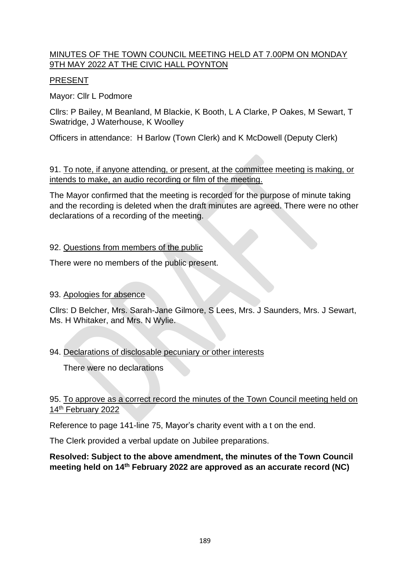# MINUTES OF THE TOWN COUNCIL MEETING HELD AT 7.00PM ON MONDAY 9TH MAY 2022 AT THE CIVIC HALL POYNTON

# PRESENT

Mayor: Cllr L Podmore

Cllrs: P Bailey, M Beanland, M Blackie, K Booth, L A Clarke, P Oakes, M Sewart, T Swatridge, J Waterhouse, K Woolley

Officers in attendance: H Barlow (Town Clerk) and K McDowell (Deputy Clerk)

91. To note, if anyone attending, or present, at the committee meeting is making, or intends to make, an audio recording or film of the meeting.

The Mayor confirmed that the meeting is recorded for the purpose of minute taking and the recording is deleted when the draft minutes are agreed. There were no other declarations of a recording of the meeting.

#### 92. Questions from members of the public

There were no members of the public present.

### 93. Apologies for absence

Cllrs: D Belcher, Mrs. Sarah-Jane Gilmore, S Lees, Mrs. J Saunders, Mrs. J Sewart, Ms. H Whitaker, and Mrs. N Wylie.

## 94. Declarations of disclosable pecuniary or other interests

There were no declarations

#### 95. To approve as a correct record the minutes of the Town Council meeting held on 14<sup>th</sup> February 2022

Reference to page 141-line 75, Mayor's charity event with a t on the end.

The Clerk provided a verbal update on Jubilee preparations.

#### **Resolved: Subject to the above amendment, the minutes of the Town Council meeting held on 14th February 2022 are approved as an accurate record (NC)**